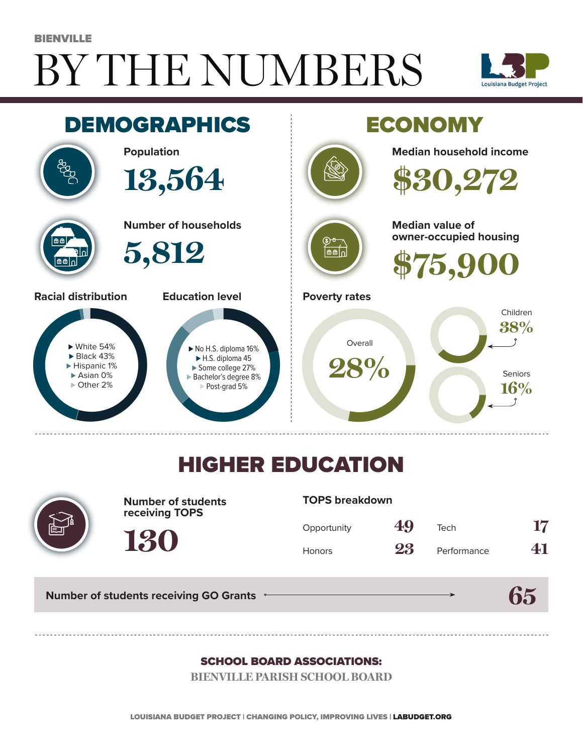# BY THE NUMBERS BIENVILLE





## HIGHER EDUCATION



**Number of students receiving TOPS**

#### **TOPS breakdown**

| Opportunity   | 49 | Tech        | 17 |
|---------------|----|-------------|----|
| <b>Honors</b> | 23 | Performance | 41 |

**65**

**Number of students receiving GO Grants**

**130**

#### SCHOOL BOARD ASSOCIATIONS:

**BIENVILLE PARISH SCHOOL BOARD**